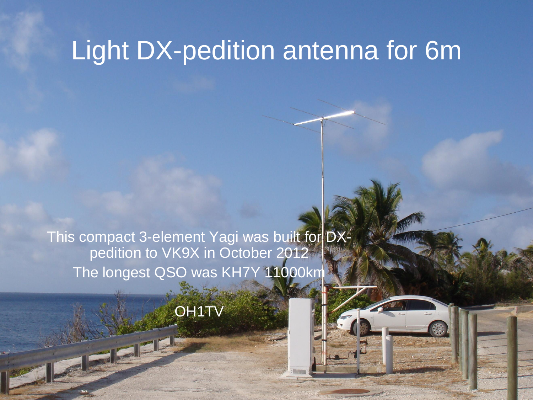#### Light DX-pedition antenna for 6m

This compact 3-element Yagi was built for DXpedition to VK9X in October 2012 The longest QSO was KH7Y 11000km

OH<sub>1</sub>TV

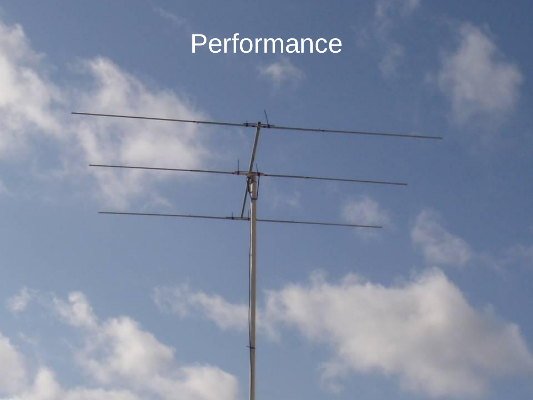## Performance

6.1.2013 OH1TV 2013 OH1TV 2013 OH1TV 2013 OH1TV 2013 OH1TV 2013 OH1TV 2013 OH1TV 2013 OH1TV 2013 OH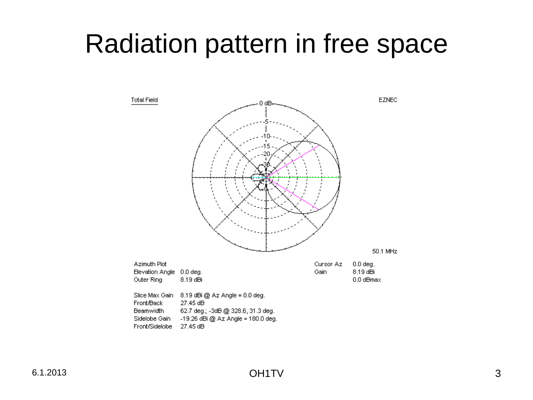#### Radiation pattern in free space

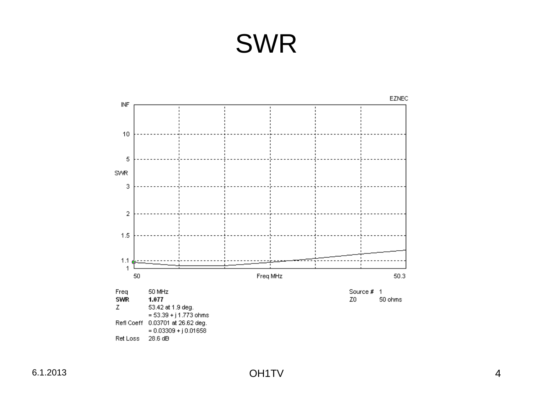## SWR

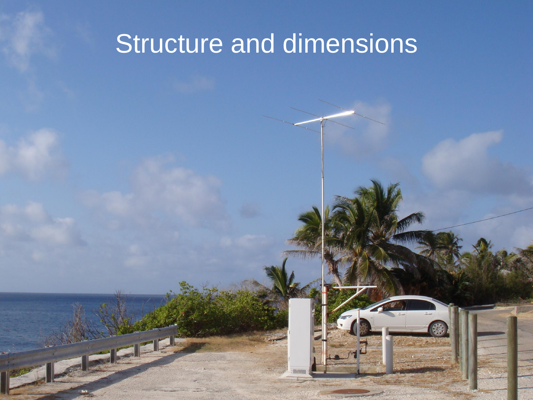### Structure and dimensions

6.1.2013 OH1TV 5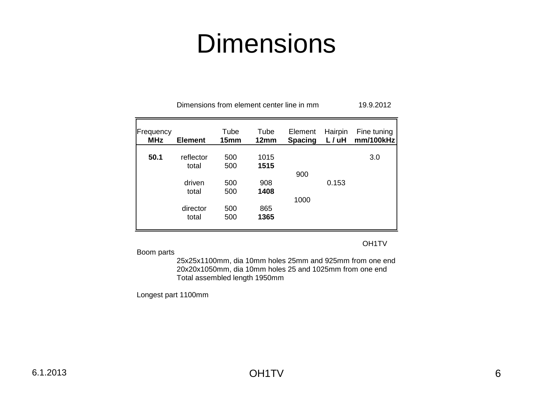#### **Dimensions**

| Frequency<br><b>MHz</b> | <b>Element</b>     | Tube<br>15mm | Tube<br>12 <sub>mm</sub> | Element<br><b>Spacing</b> | Hairpin<br>L / uH | Fine tuning<br>mm/100kHz |
|-------------------------|--------------------|--------------|--------------------------|---------------------------|-------------------|--------------------------|
| 50.1                    | reflector<br>total | 500<br>500   | 1015<br>1515             |                           |                   | 3.0                      |
|                         |                    |              |                          | 900                       |                   |                          |
|                         | driven<br>total    | 500<br>500   | 908<br>1408              |                           | 0.153             |                          |
|                         |                    |              |                          | 1000                      |                   |                          |
|                         | director<br>total  | 500<br>500   | 865<br>1365              |                           |                   |                          |

Dimensions from element center line in mm 19.9.2012

OH1TV

Boom parts

25x25x1100mm, dia 10mm holes 25mm and 925mm from one end 20x20x1050mm, dia 10mm holes 25 and 1025mm from one end Total assembled length 1950mm

Longest part 1100mm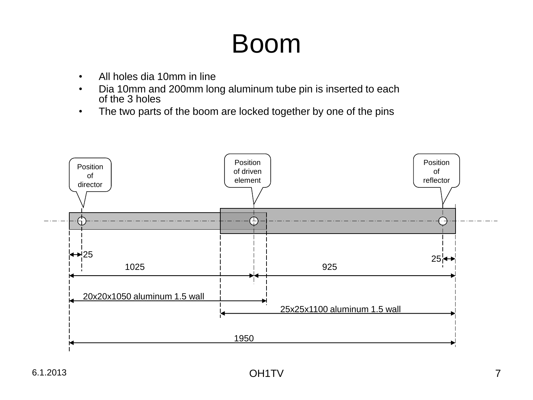#### Boom

- All holes dia 10mm in line
- Dia 10mm and 200mm long aluminum tube pin is inserted to each of the 3 holes
- The two parts of the boom are locked together by one of the pins

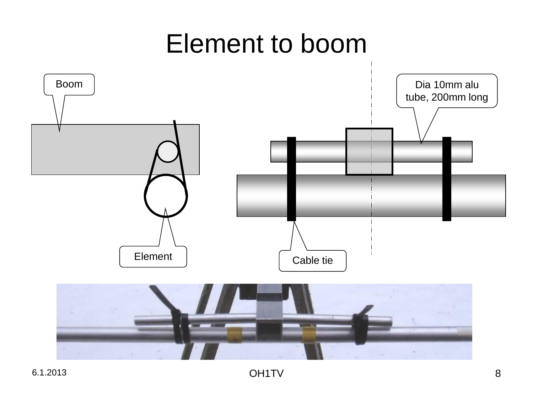### Element to boom

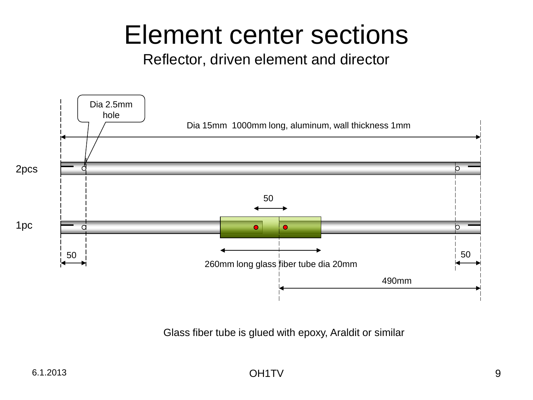### Element center sections

Reflector, driven element and director



Glass fiber tube is glued with epoxy, Araldit or similar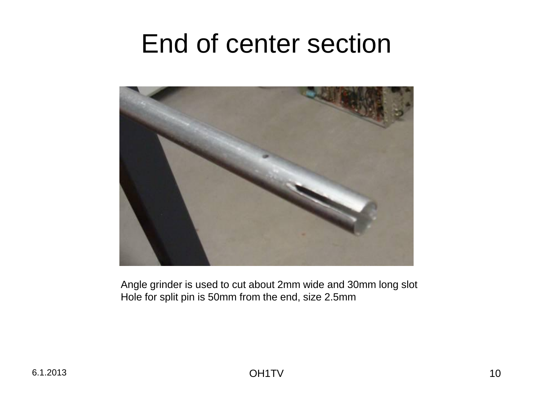#### End of center section



Angle grinder is used to cut about 2mm wide and 30mm long slot Hole for split pin is 50mm from the end, size 2.5mm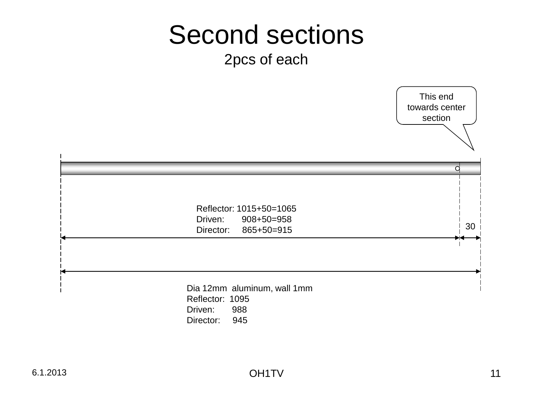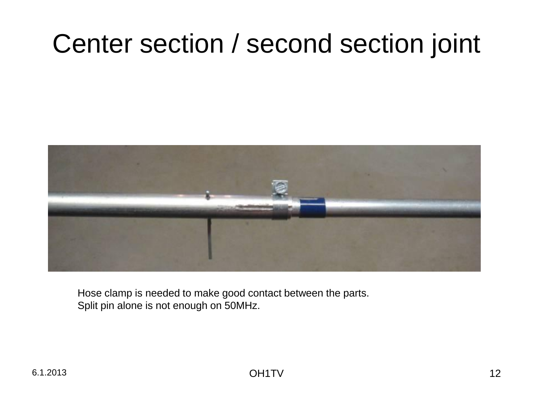## Center section / second section joint



Hose clamp is needed to make good contact between the parts. Split pin alone is not enough on 50MHz.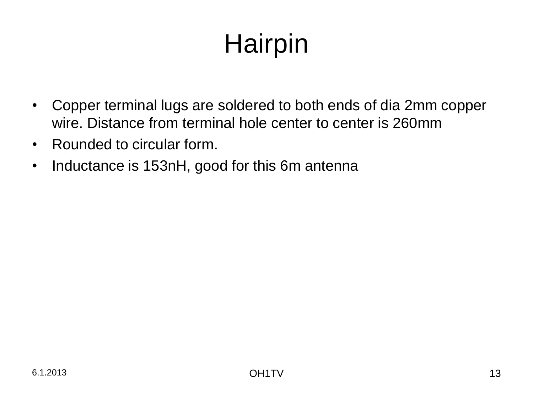# **Hairpin**

- Copper terminal lugs are soldered to both ends of dia 2mm copper wire. Distance from terminal hole center to center is 260mm
- Rounded to circular form.
- Inductance is 153nH, good for this 6m antenna